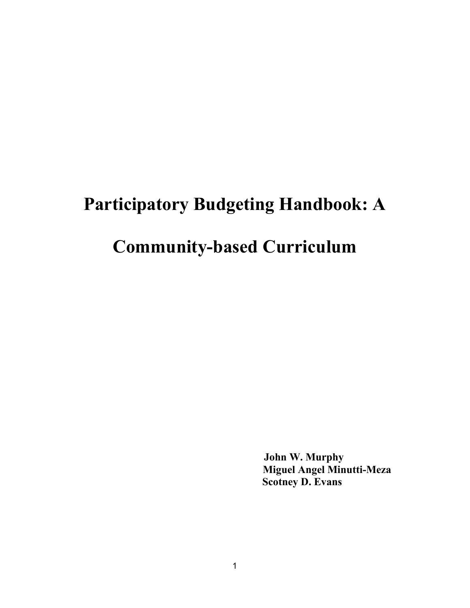# **Participatory Budgeting Handbook: A**

# **Community-based Curriculum**

**John W. Murphy Miguel Angel Minutti-Meza Scotney D. Evans**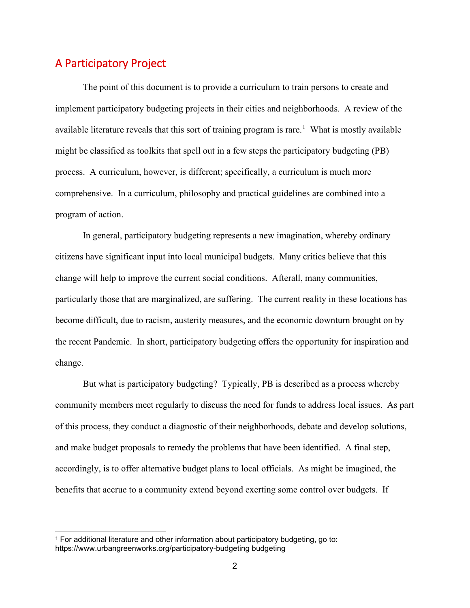# A Participatory Project

The point of this document is to provide a curriculum to train persons to create and implement participatory budgeting projects in their cities and neighborhoods. A review of the available literature reveals that this sort of training program is rare.<sup>[1](#page-1-0)</sup> What is mostly available might be classified as toolkits that spell out in a few steps the participatory budgeting (PB) process. A curriculum, however, is different; specifically, a curriculum is much more comprehensive. In a curriculum, philosophy and practical guidelines are combined into a program of action.

In general, participatory budgeting represents a new imagination, whereby ordinary citizens have significant input into local municipal budgets. Many critics believe that this change will help to improve the current social conditions. Afterall, many communities, particularly those that are marginalized, are suffering. The current reality in these locations has become difficult, due to racism, austerity measures, and the economic downturn brought on by the recent Pandemic. In short, participatory budgeting offers the opportunity for inspiration and change.

But what is participatory budgeting? Typically, PB is described as a process whereby community members meet regularly to discuss the need for funds to address local issues. As part of this process, they conduct a diagnostic of their neighborhoods, debate and develop solutions, and make budget proposals to remedy the problems that have been identified. A final step, accordingly, is to offer alternative budget plans to local officials. As might be imagined, the benefits that accrue to a community extend beyond exerting some control over budgets. If

<span id="page-1-0"></span><sup>&</sup>lt;sup>1</sup> For additional literature and other information about participatory budgeting, go to: https://www.urbangreenworks.org/participatory-budgeting budgeting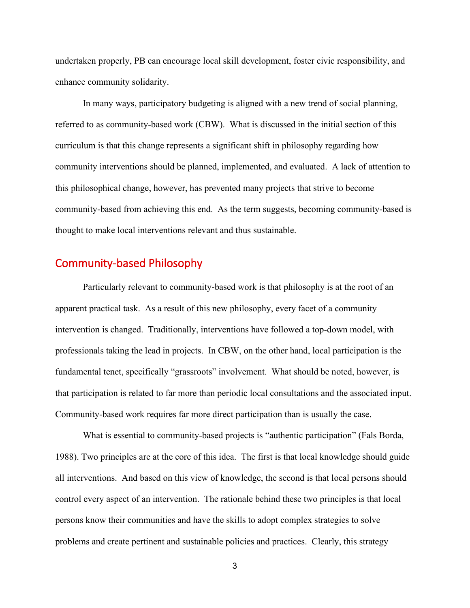undertaken properly, PB can encourage local skill development, foster civic responsibility, and enhance community solidarity.

In many ways, participatory budgeting is aligned with a new trend of social planning, referred to as community-based work (CBW). What is discussed in the initial section of this curriculum is that this change represents a significant shift in philosophy regarding how community interventions should be planned, implemented, and evaluated. A lack of attention to this philosophical change, however, has prevented many projects that strive to become community-based from achieving this end. As the term suggests, becoming community-based is thought to make local interventions relevant and thus sustainable.

# Community-based Philosophy

Particularly relevant to community-based work is that philosophy is at the root of an apparent practical task. As a result of this new philosophy, every facet of a community intervention is changed. Traditionally, interventions have followed a top-down model, with professionals taking the lead in projects. In CBW, on the other hand, local participation is the fundamental tenet, specifically "grassroots" involvement. What should be noted, however, is that participation is related to far more than periodic local consultations and the associated input. Community-based work requires far more direct participation than is usually the case.

What is essential to community-based projects is "authentic participation" (Fals Borda, 1988). Two principles are at the core of this idea. The first is that local knowledge should guide all interventions. And based on this view of knowledge, the second is that local persons should control every aspect of an intervention. The rationale behind these two principles is that local persons know their communities and have the skills to adopt complex strategies to solve problems and create pertinent and sustainable policies and practices. Clearly, this strategy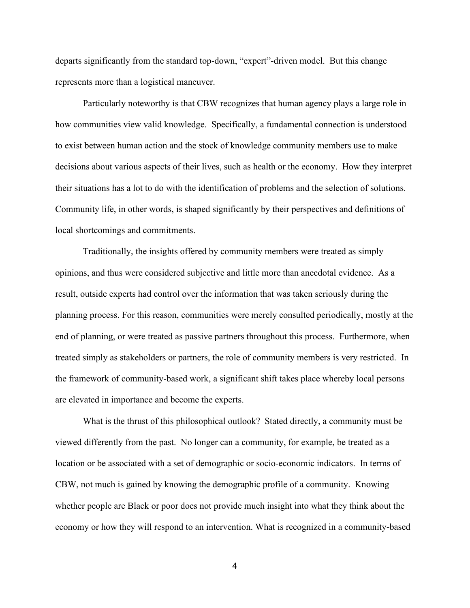departs significantly from the standard top-down, "expert"-driven model. But this change represents more than a logistical maneuver.

Particularly noteworthy is that CBW recognizes that human agency plays a large role in how communities view valid knowledge. Specifically, a fundamental connection is understood to exist between human action and the stock of knowledge community members use to make decisions about various aspects of their lives, such as health or the economy. How they interpret their situations has a lot to do with the identification of problems and the selection of solutions. Community life, in other words, is shaped significantly by their perspectives and definitions of local shortcomings and commitments.

Traditionally, the insights offered by community members were treated as simply opinions, and thus were considered subjective and little more than anecdotal evidence. As a result, outside experts had control over the information that was taken seriously during the planning process. For this reason, communities were merely consulted periodically, mostly at the end of planning, or were treated as passive partners throughout this process. Furthermore, when treated simply as stakeholders or partners, the role of community members is very restricted. In the framework of community-based work, a significant shift takes place whereby local persons are elevated in importance and become the experts.

What is the thrust of this philosophical outlook? Stated directly, a community must be viewed differently from the past. No longer can a community, for example, be treated as a location or be associated with a set of demographic or socio-economic indicators. In terms of CBW, not much is gained by knowing the demographic profile of a community. Knowing whether people are Black or poor does not provide much insight into what they think about the economy or how they will respond to an intervention. What is recognized in a community-based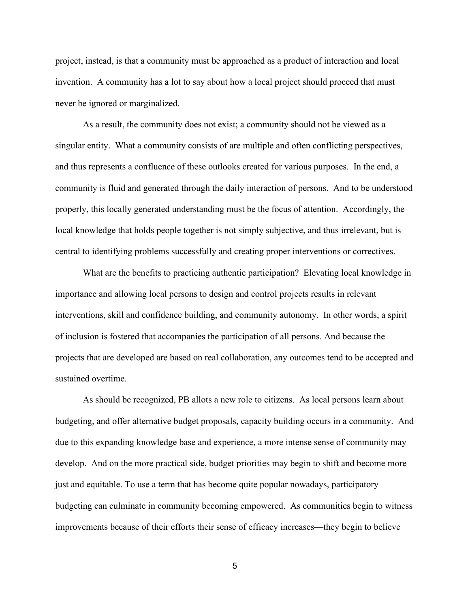project, instead, is that a community must be approached as a product of interaction and local invention. A community has a lot to say about how a local project should proceed that must never be ignored or marginalized.

As a result, the community does not exist; a community should not be viewed as a singular entity. What a community consists of are multiple and often conflicting perspectives, and thus represents a confluence of these outlooks created for various purposes. In the end, a community is fluid and generated through the daily interaction of persons. And to be understood properly, this locally generated understanding must be the focus of attention. Accordingly, the local knowledge that holds people together is not simply subjective, and thus irrelevant, but is central to identifying problems successfully and creating proper interventions or correctives.

What are the benefits to practicing authentic participation? Elevating local knowledge in importance and allowing local persons to design and control projects results in relevant interventions, skill and confidence building, and community autonomy. In other words, a spirit of inclusion is fostered that accompanies the participation of all persons. And because the projects that are developed are based on real collaboration, any outcomes tend to be accepted and sustained overtime.

As should be recognized, PB allots a new role to citizens. As local persons learn about budgeting, and offer alternative budget proposals, capacity building occurs in a community. And due to this expanding knowledge base and experience, a more intense sense of community may develop. And on the more practical side, budget priorities may begin to shift and become more just and equitable. To use a term that has become quite popular nowadays, participatory budgeting can culminate in community becoming empowered. As communities begin to witness improvements because of their efforts their sense of efficacy increases—they begin to believe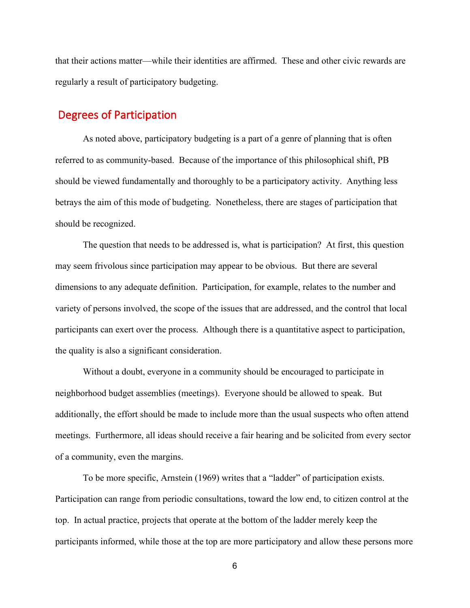that their actions matter—while their identities are affirmed. These and other civic rewards are regularly a result of participatory budgeting.

# Degrees of Participation

As noted above, participatory budgeting is a part of a genre of planning that is often referred to as community-based. Because of the importance of this philosophical shift, PB should be viewed fundamentally and thoroughly to be a participatory activity. Anything less betrays the aim of this mode of budgeting. Nonetheless, there are stages of participation that should be recognized.

The question that needs to be addressed is, what is participation? At first, this question may seem frivolous since participation may appear to be obvious. But there are several dimensions to any adequate definition. Participation, for example, relates to the number and variety of persons involved, the scope of the issues that are addressed, and the control that local participants can exert over the process. Although there is a quantitative aspect to participation, the quality is also a significant consideration.

Without a doubt, everyone in a community should be encouraged to participate in neighborhood budget assemblies (meetings). Everyone should be allowed to speak. But additionally, the effort should be made to include more than the usual suspects who often attend meetings. Furthermore, all ideas should receive a fair hearing and be solicited from every sector of a community, even the margins.

To be more specific, Arnstein (1969) writes that a "ladder" of participation exists. Participation can range from periodic consultations, toward the low end, to citizen control at the top. In actual practice, projects that operate at the bottom of the ladder merely keep the participants informed, while those at the top are more participatory and allow these persons more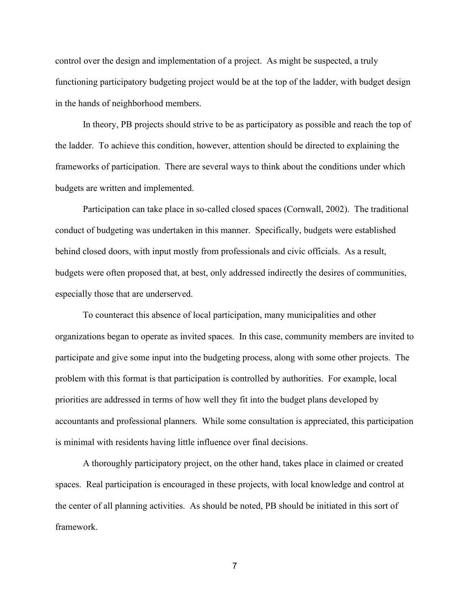control over the design and implementation of a project. As might be suspected, a truly functioning participatory budgeting project would be at the top of the ladder, with budget design in the hands of neighborhood members.

In theory, PB projects should strive to be as participatory as possible and reach the top of the ladder. To achieve this condition, however, attention should be directed to explaining the frameworks of participation. There are several ways to think about the conditions under which budgets are written and implemented.

Participation can take place in so-called closed spaces (Cornwall, 2002). The traditional conduct of budgeting was undertaken in this manner. Specifically, budgets were established behind closed doors, with input mostly from professionals and civic officials. As a result, budgets were often proposed that, at best, only addressed indirectly the desires of communities, especially those that are underserved.

To counteract this absence of local participation, many municipalities and other organizations began to operate as invited spaces. In this case, community members are invited to participate and give some input into the budgeting process, along with some other projects. The problem with this format is that participation is controlled by authorities. For example, local priorities are addressed in terms of how well they fit into the budget plans developed by accountants and professional planners. While some consultation is appreciated, this participation is minimal with residents having little influence over final decisions.

A thoroughly participatory project, on the other hand, takes place in claimed or created spaces. Real participation is encouraged in these projects, with local knowledge and control at the center of all planning activities. As should be noted, PB should be initiated in this sort of framework.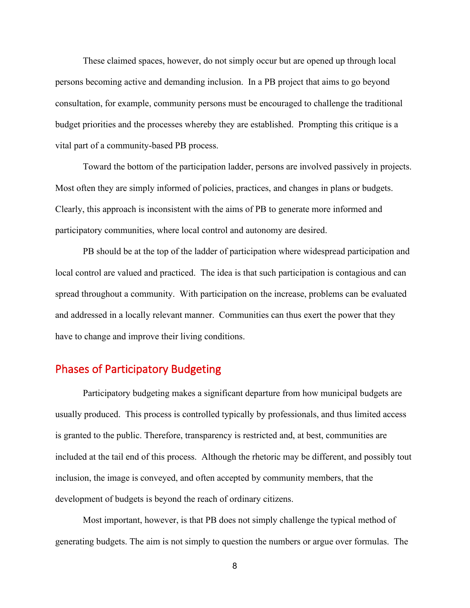These claimed spaces, however, do not simply occur but are opened up through local persons becoming active and demanding inclusion. In a PB project that aims to go beyond consultation, for example, community persons must be encouraged to challenge the traditional budget priorities and the processes whereby they are established. Prompting this critique is a vital part of a community-based PB process.

Toward the bottom of the participation ladder, persons are involved passively in projects. Most often they are simply informed of policies, practices, and changes in plans or budgets. Clearly, this approach is inconsistent with the aims of PB to generate more informed and participatory communities, where local control and autonomy are desired.

PB should be at the top of the ladder of participation where widespread participation and local control are valued and practiced. The idea is that such participation is contagious and can spread throughout a community. With participation on the increase, problems can be evaluated and addressed in a locally relevant manner. Communities can thus exert the power that they have to change and improve their living conditions.

# Phases of Participatory Budgeting

Participatory budgeting makes a significant departure from how municipal budgets are usually produced. This process is controlled typically by professionals, and thus limited access is granted to the public. Therefore, transparency is restricted and, at best, communities are included at the tail end of this process. Although the rhetoric may be different, and possibly tout inclusion, the image is conveyed, and often accepted by community members, that the development of budgets is beyond the reach of ordinary citizens.

Most important, however, is that PB does not simply challenge the typical method of generating budgets. The aim is not simply to question the numbers or argue over formulas. The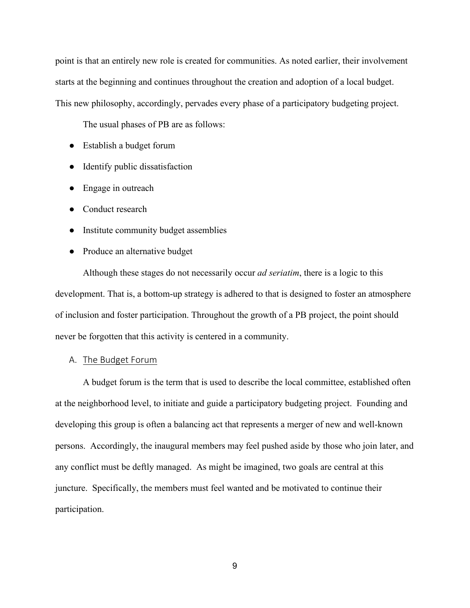point is that an entirely new role is created for communities. As noted earlier, their involvement starts at the beginning and continues throughout the creation and adoption of a local budget. This new philosophy, accordingly, pervades every phase of a participatory budgeting project.

The usual phases of PB are as follows:

- Establish a budget forum
- Identify public dissatisfaction
- Engage in outreach
- Conduct research
- Institute community budget assemblies
- Produce an alternative budget

Although these stages do not necessarily occur *ad seriatim*, there is a logic to this development. That is, a bottom-up strategy is adhered to that is designed to foster an atmosphere of inclusion and foster participation. Throughout the growth of a PB project, the point should never be forgotten that this activity is centered in a community.

## A. The Budget Forum

A budget forum is the term that is used to describe the local committee, established often at the neighborhood level, to initiate and guide a participatory budgeting project. Founding and developing this group is often a balancing act that represents a merger of new and well-known persons. Accordingly, the inaugural members may feel pushed aside by those who join later, and any conflict must be deftly managed. As might be imagined, two goals are central at this juncture. Specifically, the members must feel wanted and be motivated to continue their participation.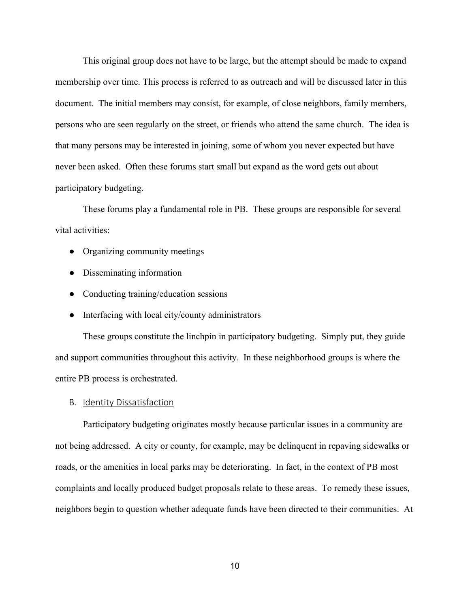This original group does not have to be large, but the attempt should be made to expand membership over time. This process is referred to as outreach and will be discussed later in this document. The initial members may consist, for example, of close neighbors, family members, persons who are seen regularly on the street, or friends who attend the same church. The idea is that many persons may be interested in joining, some of whom you never expected but have never been asked. Often these forums start small but expand as the word gets out about participatory budgeting.

These forums play a fundamental role in PB. These groups are responsible for several vital activities:

- Organizing community meetings
- Disseminating information
- Conducting training/education sessions
- Interfacing with local city/county administrators

These groups constitute the linchpin in participatory budgeting. Simply put, they guide and support communities throughout this activity. In these neighborhood groups is where the entire PB process is orchestrated.

B. Identity Dissatisfaction

Participatory budgeting originates mostly because particular issues in a community are not being addressed. A city or county, for example, may be delinquent in repaving sidewalks or roads, or the amenities in local parks may be deteriorating. In fact, in the context of PB most complaints and locally produced budget proposals relate to these areas. To remedy these issues, neighbors begin to question whether adequate funds have been directed to their communities. At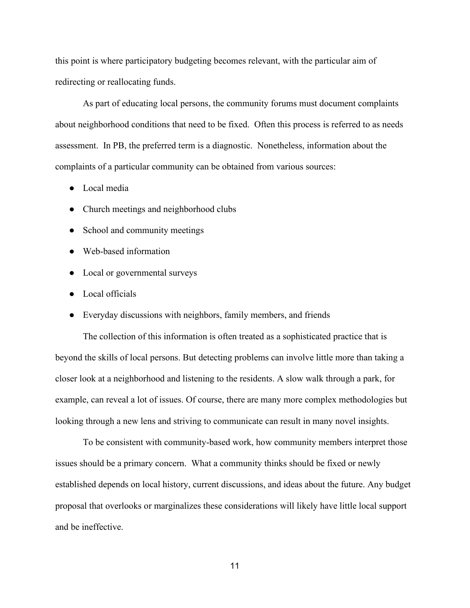this point is where participatory budgeting becomes relevant, with the particular aim of redirecting or reallocating funds.

As part of educating local persons, the community forums must document complaints about neighborhood conditions that need to be fixed. Often this process is referred to as needs assessment. In PB, the preferred term is a diagnostic. Nonetheless, information about the complaints of a particular community can be obtained from various sources:

- Local media
- Church meetings and neighborhood clubs
- School and community meetings
- Web-based information
- Local or governmental surveys
- Local officials
- Everyday discussions with neighbors, family members, and friends

The collection of this information is often treated as a sophisticated practice that is beyond the skills of local persons. But detecting problems can involve little more than taking a closer look at a neighborhood and listening to the residents. A slow walk through a park, for example, can reveal a lot of issues. Of course, there are many more complex methodologies but looking through a new lens and striving to communicate can result in many novel insights.

To be consistent with community-based work, how community members interpret those issues should be a primary concern. What a community thinks should be fixed or newly established depends on local history, current discussions, and ideas about the future. Any budget proposal that overlooks or marginalizes these considerations will likely have little local support and be ineffective.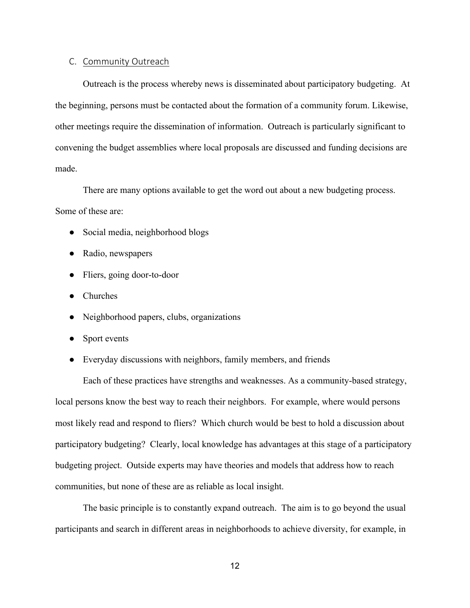### C. Community Outreach

Outreach is the process whereby news is disseminated about participatory budgeting. At the beginning, persons must be contacted about the formation of a community forum. Likewise, other meetings require the dissemination of information. Outreach is particularly significant to convening the budget assemblies where local proposals are discussed and funding decisions are made.

There are many options available to get the word out about a new budgeting process.

## Some of these are:

- Social media, neighborhood blogs
- Radio, newspapers
- Fliers, going door-to-door
- Churches
- Neighborhood papers, clubs, organizations
- Sport events
- Everyday discussions with neighbors, family members, and friends

Each of these practices have strengths and weaknesses. As a community-based strategy, local persons know the best way to reach their neighbors. For example, where would persons most likely read and respond to fliers? Which church would be best to hold a discussion about participatory budgeting? Clearly, local knowledge has advantages at this stage of a participatory budgeting project. Outside experts may have theories and models that address how to reach communities, but none of these are as reliable as local insight.

The basic principle is to constantly expand outreach. The aim is to go beyond the usual participants and search in different areas in neighborhoods to achieve diversity, for example, in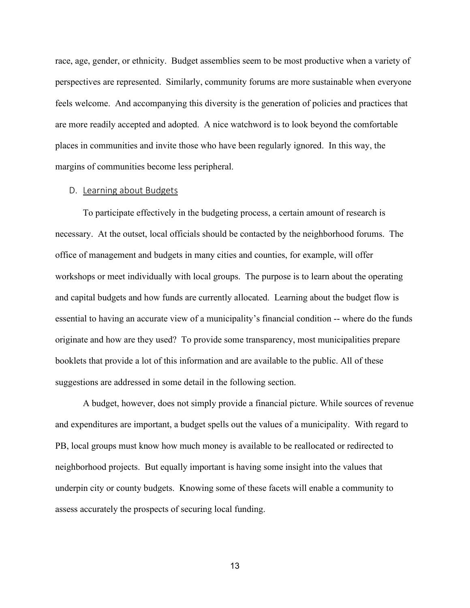race, age, gender, or ethnicity. Budget assemblies seem to be most productive when a variety of perspectives are represented. Similarly, community forums are more sustainable when everyone feels welcome. And accompanying this diversity is the generation of policies and practices that are more readily accepted and adopted. A nice watchword is to look beyond the comfortable places in communities and invite those who have been regularly ignored. In this way, the margins of communities become less peripheral.

#### D. Learning about Budgets

To participate effectively in the budgeting process, a certain amount of research is necessary. At the outset, local officials should be contacted by the neighborhood forums. The office of management and budgets in many cities and counties, for example, will offer workshops or meet individually with local groups. The purpose is to learn about the operating and capital budgets and how funds are currently allocated. Learning about the budget flow is essential to having an accurate view of a municipality's financial condition -- where do the funds originate and how are they used? To provide some transparency, most municipalities prepare booklets that provide a lot of this information and are available to the public. All of these suggestions are addressed in some detail in the following section.

A budget, however, does not simply provide a financial picture. While sources of revenue and expenditures are important, a budget spells out the values of a municipality. With regard to PB, local groups must know how much money is available to be reallocated or redirected to neighborhood projects. But equally important is having some insight into the values that underpin city or county budgets. Knowing some of these facets will enable a community to assess accurately the prospects of securing local funding.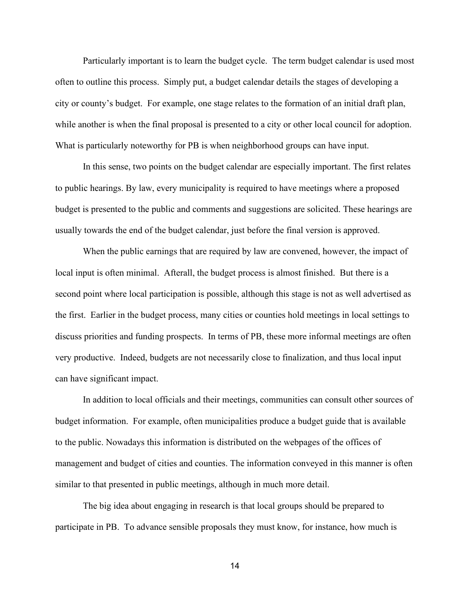Particularly important is to learn the budget cycle. The term budget calendar is used most often to outline this process. Simply put, a budget calendar details the stages of developing a city or county's budget. For example, one stage relates to the formation of an initial draft plan, while another is when the final proposal is presented to a city or other local council for adoption. What is particularly noteworthy for PB is when neighborhood groups can have input.

In this sense, two points on the budget calendar are especially important. The first relates to public hearings. By law, every municipality is required to have meetings where a proposed budget is presented to the public and comments and suggestions are solicited. These hearings are usually towards the end of the budget calendar, just before the final version is approved.

When the public earnings that are required by law are convened, however, the impact of local input is often minimal. Afterall, the budget process is almost finished. But there is a second point where local participation is possible, although this stage is not as well advertised as the first. Earlier in the budget process, many cities or counties hold meetings in local settings to discuss priorities and funding prospects. In terms of PB, these more informal meetings are often very productive. Indeed, budgets are not necessarily close to finalization, and thus local input can have significant impact.

In addition to local officials and their meetings, communities can consult other sources of budget information. For example, often municipalities produce a budget guide that is available to the public. Nowadays this information is distributed on the webpages of the offices of management and budget of cities and counties. The information conveyed in this manner is often similar to that presented in public meetings, although in much more detail.

The big idea about engaging in research is that local groups should be prepared to participate in PB. To advance sensible proposals they must know, for instance, how much is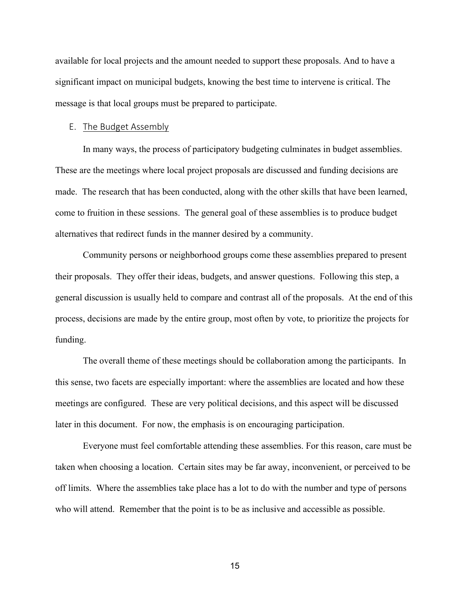available for local projects and the amount needed to support these proposals. And to have a significant impact on municipal budgets, knowing the best time to intervene is critical. The message is that local groups must be prepared to participate.

## E. The Budget Assembly

In many ways, the process of participatory budgeting culminates in budget assemblies. These are the meetings where local project proposals are discussed and funding decisions are made. The research that has been conducted, along with the other skills that have been learned, come to fruition in these sessions. The general goal of these assemblies is to produce budget alternatives that redirect funds in the manner desired by a community.

Community persons or neighborhood groups come these assemblies prepared to present their proposals. They offer their ideas, budgets, and answer questions. Following this step, a general discussion is usually held to compare and contrast all of the proposals. At the end of this process, decisions are made by the entire group, most often by vote, to prioritize the projects for funding.

The overall theme of these meetings should be collaboration among the participants. In this sense, two facets are especially important: where the assemblies are located and how these meetings are configured. These are very political decisions, and this aspect will be discussed later in this document. For now, the emphasis is on encouraging participation.

Everyone must feel comfortable attending these assemblies. For this reason, care must be taken when choosing a location. Certain sites may be far away, inconvenient, or perceived to be off limits. Where the assemblies take place has a lot to do with the number and type of persons who will attend. Remember that the point is to be as inclusive and accessible as possible.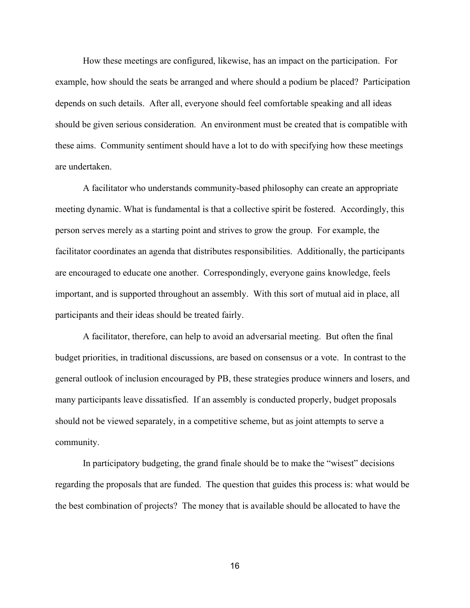How these meetings are configured, likewise, has an impact on the participation. For example, how should the seats be arranged and where should a podium be placed? Participation depends on such details. After all, everyone should feel comfortable speaking and all ideas should be given serious consideration. An environment must be created that is compatible with these aims. Community sentiment should have a lot to do with specifying how these meetings are undertaken.

A facilitator who understands community-based philosophy can create an appropriate meeting dynamic. What is fundamental is that a collective spirit be fostered. Accordingly, this person serves merely as a starting point and strives to grow the group. For example, the facilitator coordinates an agenda that distributes responsibilities. Additionally, the participants are encouraged to educate one another. Correspondingly, everyone gains knowledge, feels important, and is supported throughout an assembly. With this sort of mutual aid in place, all participants and their ideas should be treated fairly.

A facilitator, therefore, can help to avoid an adversarial meeting. But often the final budget priorities, in traditional discussions, are based on consensus or a vote. In contrast to the general outlook of inclusion encouraged by PB, these strategies produce winners and losers, and many participants leave dissatisfied. If an assembly is conducted properly, budget proposals should not be viewed separately, in a competitive scheme, but as joint attempts to serve a community.

In participatory budgeting, the grand finale should be to make the "wisest" decisions regarding the proposals that are funded. The question that guides this process is: what would be the best combination of projects? The money that is available should be allocated to have the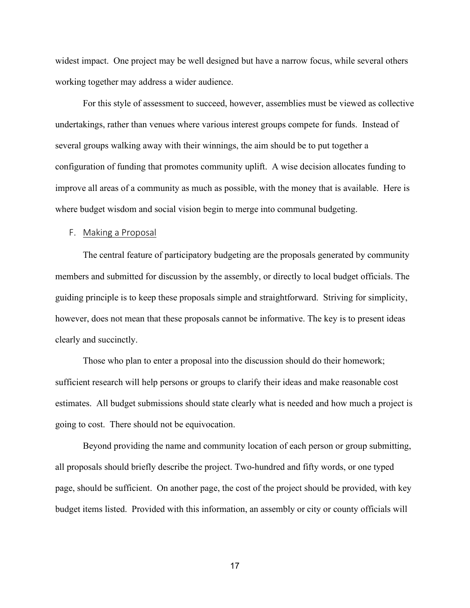widest impact. One project may be well designed but have a narrow focus, while several others working together may address a wider audience.

For this style of assessment to succeed, however, assemblies must be viewed as collective undertakings, rather than venues where various interest groups compete for funds. Instead of several groups walking away with their winnings, the aim should be to put together a configuration of funding that promotes community uplift. A wise decision allocates funding to improve all areas of a community as much as possible, with the money that is available. Here is where budget wisdom and social vision begin to merge into communal budgeting.

#### F. Making a Proposal

The central feature of participatory budgeting are the proposals generated by community members and submitted for discussion by the assembly, or directly to local budget officials. The guiding principle is to keep these proposals simple and straightforward. Striving for simplicity, however, does not mean that these proposals cannot be informative. The key is to present ideas clearly and succinctly.

Those who plan to enter a proposal into the discussion should do their homework; sufficient research will help persons or groups to clarify their ideas and make reasonable cost estimates. All budget submissions should state clearly what is needed and how much a project is going to cost. There should not be equivocation.

Beyond providing the name and community location of each person or group submitting, all proposals should briefly describe the project. Two-hundred and fifty words, or one typed page, should be sufficient. On another page, the cost of the project should be provided, with key budget items listed. Provided with this information, an assembly or city or county officials will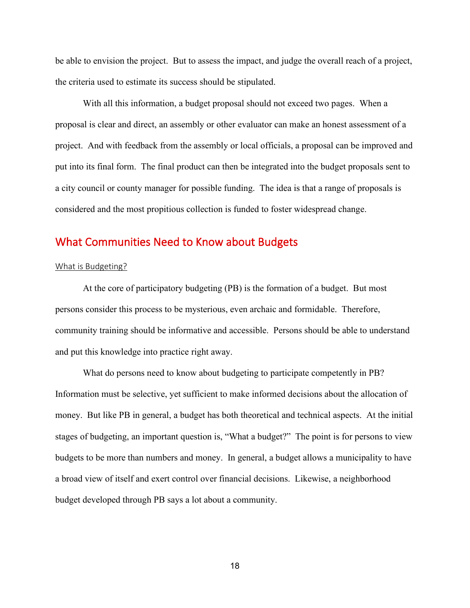be able to envision the project. But to assess the impact, and judge the overall reach of a project, the criteria used to estimate its success should be stipulated.

With all this information, a budget proposal should not exceed two pages. When a proposal is clear and direct, an assembly or other evaluator can make an honest assessment of a project. And with feedback from the assembly or local officials, a proposal can be improved and put into its final form. The final product can then be integrated into the budget proposals sent to a city council or county manager for possible funding. The idea is that a range of proposals is considered and the most propitious collection is funded to foster widespread change.

# What Communities Need to Know about Budgets

#### What is Budgeting?

At the core of participatory budgeting (PB) is the formation of a budget. But most persons consider this process to be mysterious, even archaic and formidable. Therefore, community training should be informative and accessible. Persons should be able to understand and put this knowledge into practice right away.

What do persons need to know about budgeting to participate competently in PB? Information must be selective, yet sufficient to make informed decisions about the allocation of money. But like PB in general, a budget has both theoretical and technical aspects. At the initial stages of budgeting, an important question is, "What a budget?" The point is for persons to view budgets to be more than numbers and money. In general, a budget allows a municipality to have a broad view of itself and exert control over financial decisions. Likewise, a neighborhood budget developed through PB says a lot about a community.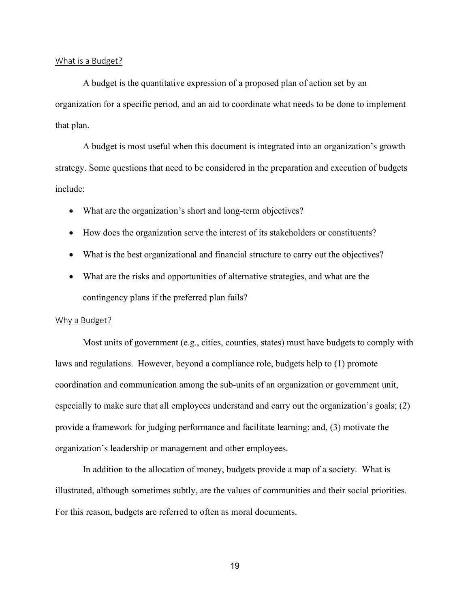#### What is a Budget?

A budget is the quantitative expression of a proposed plan of action set by an organization for a specific period, and an aid to coordinate what needs to be done to implement that plan.

A budget is most useful when this document is integrated into an organization's growth strategy. Some questions that need to be considered in the preparation and execution of budgets include:

- What are the organization's short and long-term objectives?
- How does the organization serve the interest of its stakeholders or constituents?
- What is the best organizational and financial structure to carry out the objectives?
- What are the risks and opportunities of alternative strategies, and what are the contingency plans if the preferred plan fails?

### Why a Budget?

Most units of government (e.g., cities, counties, states) must have budgets to comply with laws and regulations. However, beyond a compliance role, budgets help to (1) promote coordination and communication among the sub-units of an organization or government unit, especially to make sure that all employees understand and carry out the organization's goals; (2) provide a framework for judging performance and facilitate learning; and, (3) motivate the organization's leadership or management and other employees.

In addition to the allocation of money, budgets provide a map of a society. What is illustrated, although sometimes subtly, are the values of communities and their social priorities. For this reason, budgets are referred to often as moral documents.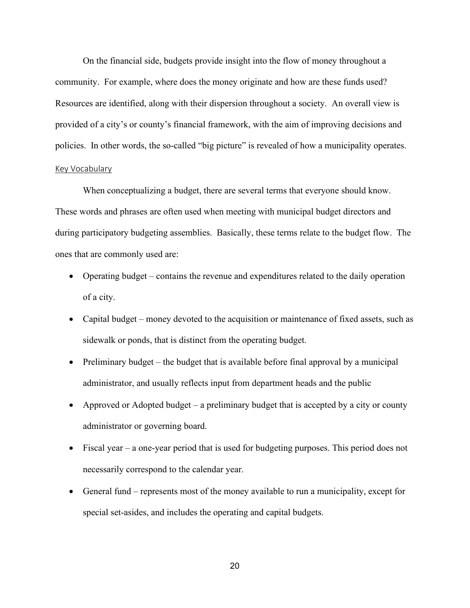On the financial side, budgets provide insight into the flow of money throughout a community. For example, where does the money originate and how are these funds used? Resources are identified, along with their dispersion throughout a society. An overall view is provided of a city's or county's financial framework, with the aim of improving decisions and policies. In other words, the so-called "big picture" is revealed of how a municipality operates.

## Key Vocabulary

When conceptualizing a budget, there are several terms that everyone should know. These words and phrases are often used when meeting with municipal budget directors and during participatory budgeting assemblies. Basically, these terms relate to the budget flow. The ones that are commonly used are:

- Operating budget contains the revenue and expenditures related to the daily operation of a city.
- Capital budget money devoted to the acquisition or maintenance of fixed assets, such as sidewalk or ponds, that is distinct from the operating budget.
- Preliminary budget the budget that is available before final approval by a municipal administrator, and usually reflects input from department heads and the public
- Approved or Adopted budget a preliminary budget that is accepted by a city or county administrator or governing board.
- Fiscal year a one-year period that is used for budgeting purposes. This period does not necessarily correspond to the calendar year.
- General fund represents most of the money available to run a municipality, except for special set-asides, and includes the operating and capital budgets.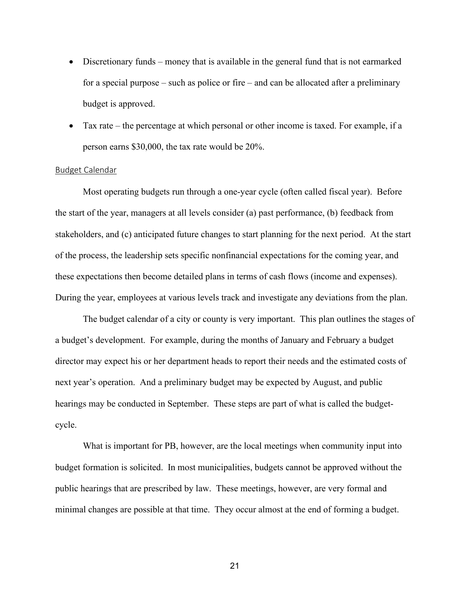- Discretionary funds money that is available in the general fund that is not earmarked for a special purpose – such as police or fire – and can be allocated after a preliminary budget is approved.
- Tax rate the percentage at which personal or other income is taxed. For example, if a person earns \$30,000, the tax rate would be 20%.

### Budget Calendar

Most operating budgets run through a one-year cycle (often called fiscal year). Before the start of the year, managers at all levels consider (a) past performance, (b) feedback from stakeholders, and (c) anticipated future changes to start planning for the next period. At the start of the process, the leadership sets specific nonfinancial expectations for the coming year, and these expectations then become detailed plans in terms of cash flows (income and expenses). During the year, employees at various levels track and investigate any deviations from the plan.

The budget calendar of a city or county is very important. This plan outlines the stages of a budget's development. For example, during the months of January and February a budget director may expect his or her department heads to report their needs and the estimated costs of next year's operation. And a preliminary budget may be expected by August, and public hearings may be conducted in September. These steps are part of what is called the budgetcycle.

What is important for PB, however, are the local meetings when community input into budget formation is solicited. In most municipalities, budgets cannot be approved without the public hearings that are prescribed by law. These meetings, however, are very formal and minimal changes are possible at that time. They occur almost at the end of forming a budget.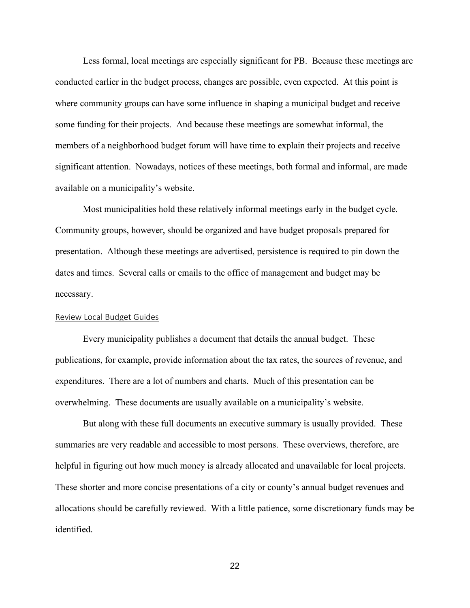Less formal, local meetings are especially significant for PB. Because these meetings are conducted earlier in the budget process, changes are possible, even expected. At this point is where community groups can have some influence in shaping a municipal budget and receive some funding for their projects. And because these meetings are somewhat informal, the members of a neighborhood budget forum will have time to explain their projects and receive significant attention. Nowadays, notices of these meetings, both formal and informal, are made available on a municipality's website.

Most municipalities hold these relatively informal meetings early in the budget cycle. Community groups, however, should be organized and have budget proposals prepared for presentation. Although these meetings are advertised, persistence is required to pin down the dates and times. Several calls or emails to the office of management and budget may be necessary.

#### Review Local Budget Guides

Every municipality publishes a document that details the annual budget. These publications, for example, provide information about the tax rates, the sources of revenue, and expenditures. There are a lot of numbers and charts. Much of this presentation can be overwhelming. These documents are usually available on a municipality's website.

But along with these full documents an executive summary is usually provided. These summaries are very readable and accessible to most persons. These overviews, therefore, are helpful in figuring out how much money is already allocated and unavailable for local projects. These shorter and more concise presentations of a city or county's annual budget revenues and allocations should be carefully reviewed. With a little patience, some discretionary funds may be identified.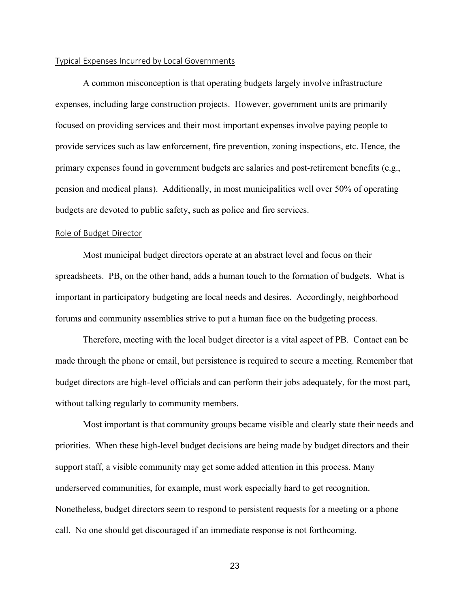#### Typical Expenses Incurred by Local Governments

A common misconception is that operating budgets largely involve infrastructure expenses, including large construction projects. However, government units are primarily focused on providing services and their most important expenses involve paying people to provide services such as law enforcement, fire prevention, zoning inspections, etc. Hence, the primary expenses found in government budgets are salaries and post-retirement benefits (e.g., pension and medical plans). Additionally, in most municipalities well over 50% of operating budgets are devoted to public safety, such as police and fire services.

#### Role of Budget Director

Most municipal budget directors operate at an abstract level and focus on their spreadsheets. PB, on the other hand, adds a human touch to the formation of budgets. What is important in participatory budgeting are local needs and desires. Accordingly, neighborhood forums and community assemblies strive to put a human face on the budgeting process.

Therefore, meeting with the local budget director is a vital aspect of PB. Contact can be made through the phone or email, but persistence is required to secure a meeting. Remember that budget directors are high-level officials and can perform their jobs adequately, for the most part, without talking regularly to community members.

Most important is that community groups became visible and clearly state their needs and priorities. When these high-level budget decisions are being made by budget directors and their support staff, a visible community may get some added attention in this process. Many underserved communities, for example, must work especially hard to get recognition. Nonetheless, budget directors seem to respond to persistent requests for a meeting or a phone call. No one should get discouraged if an immediate response is not forthcoming.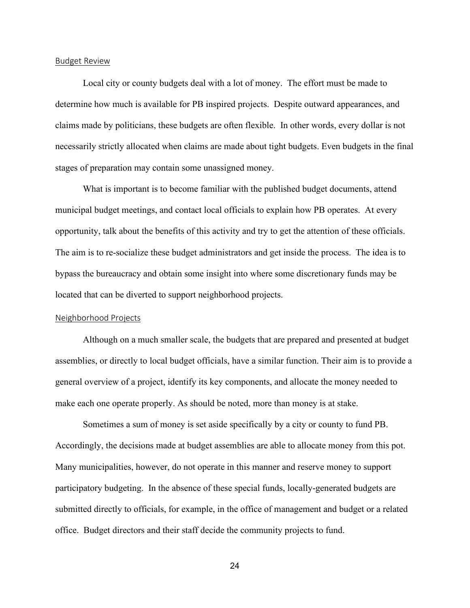#### Budget Review

Local city or county budgets deal with a lot of money. The effort must be made to determine how much is available for PB inspired projects. Despite outward appearances, and claims made by politicians, these budgets are often flexible. In other words, every dollar is not necessarily strictly allocated when claims are made about tight budgets. Even budgets in the final stages of preparation may contain some unassigned money.

What is important is to become familiar with the published budget documents, attend municipal budget meetings, and contact local officials to explain how PB operates. At every opportunity, talk about the benefits of this activity and try to get the attention of these officials. The aim is to re-socialize these budget administrators and get inside the process. The idea is to bypass the bureaucracy and obtain some insight into where some discretionary funds may be located that can be diverted to support neighborhood projects.

#### Neighborhood Projects

Although on a much smaller scale, the budgets that are prepared and presented at budget assemblies, or directly to local budget officials, have a similar function. Their aim is to provide a general overview of a project, identify its key components, and allocate the money needed to make each one operate properly. As should be noted, more than money is at stake.

Sometimes a sum of money is set aside specifically by a city or county to fund PB. Accordingly, the decisions made at budget assemblies are able to allocate money from this pot. Many municipalities, however, do not operate in this manner and reserve money to support participatory budgeting. In the absence of these special funds, locally-generated budgets are submitted directly to officials, for example, in the office of management and budget or a related office. Budget directors and their staff decide the community projects to fund.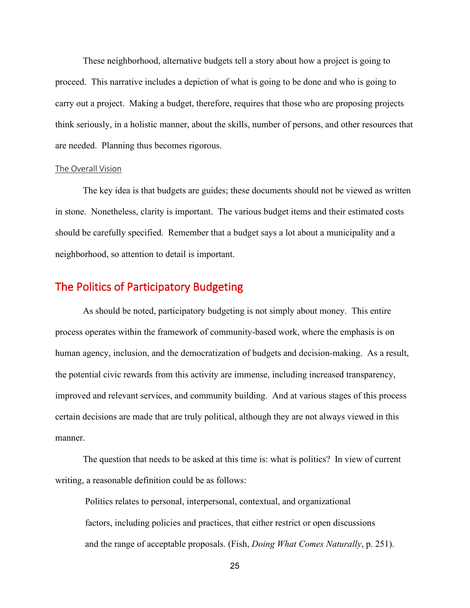These neighborhood, alternative budgets tell a story about how a project is going to proceed. This narrative includes a depiction of what is going to be done and who is going to carry out a project. Making a budget, therefore, requires that those who are proposing projects think seriously, in a holistic manner, about the skills, number of persons, and other resources that are needed. Planning thus becomes rigorous.

#### The Overall Vision

The key idea is that budgets are guides; these documents should not be viewed as written in stone. Nonetheless, clarity is important. The various budget items and their estimated costs should be carefully specified. Remember that a budget says a lot about a municipality and a neighborhood, so attention to detail is important.

# The Politics of Participatory Budgeting

As should be noted, participatory budgeting is not simply about money. This entire process operates within the framework of community-based work, where the emphasis is on human agency, inclusion, and the democratization of budgets and decision-making. As a result, the potential civic rewards from this activity are immense, including increased transparency, improved and relevant services, and community building. And at various stages of this process certain decisions are made that are truly political, although they are not always viewed in this manner.

The question that needs to be asked at this time is: what is politics? In view of current writing, a reasonable definition could be as follows:

 Politics relates to personal, interpersonal, contextual, and organizational factors, including policies and practices, that either restrict or open discussions and the range of acceptable proposals. (Fish, *Doing What Comes Naturally*, p. 251).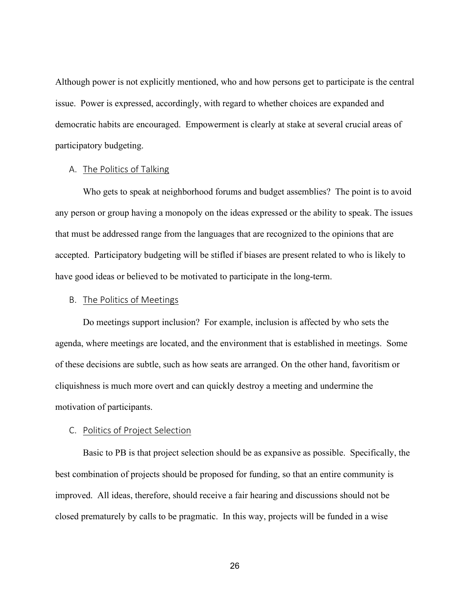Although power is not explicitly mentioned, who and how persons get to participate is the central issue. Power is expressed, accordingly, with regard to whether choices are expanded and democratic habits are encouraged. Empowerment is clearly at stake at several crucial areas of participatory budgeting.

## A. The Politics of Talking

Who gets to speak at neighborhood forums and budget assemblies? The point is to avoid any person or group having a monopoly on the ideas expressed or the ability to speak. The issues that must be addressed range from the languages that are recognized to the opinions that are accepted. Participatory budgeting will be stifled if biases are present related to who is likely to have good ideas or believed to be motivated to participate in the long-term.

## B. The Politics of Meetings

Do meetings support inclusion? For example, inclusion is affected by who sets the agenda, where meetings are located, and the environment that is established in meetings. Some of these decisions are subtle, such as how seats are arranged. On the other hand, favoritism or cliquishness is much more overt and can quickly destroy a meeting and undermine the motivation of participants.

## C. Politics of Project Selection

Basic to PB is that project selection should be as expansive as possible. Specifically, the best combination of projects should be proposed for funding, so that an entire community is improved. All ideas, therefore, should receive a fair hearing and discussions should not be closed prematurely by calls to be pragmatic. In this way, projects will be funded in a wise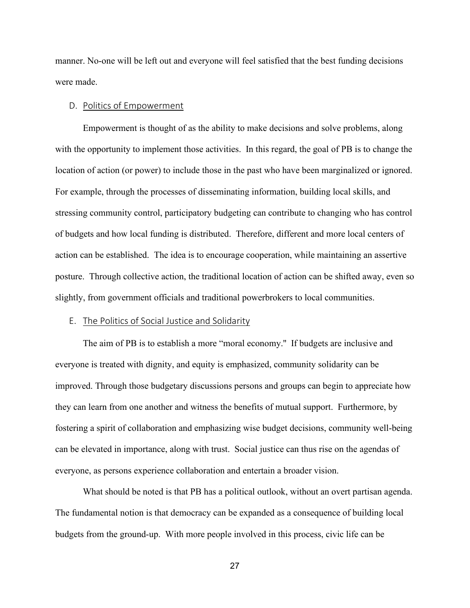manner. No-one will be left out and everyone will feel satisfied that the best funding decisions were made.

### D. Politics of Empowerment

Empowerment is thought of as the ability to make decisions and solve problems, along with the opportunity to implement those activities. In this regard, the goal of PB is to change the location of action (or power) to include those in the past who have been marginalized or ignored. For example, through the processes of disseminating information, building local skills, and stressing community control, participatory budgeting can contribute to changing who has control of budgets and how local funding is distributed. Therefore, different and more local centers of action can be established. The idea is to encourage cooperation, while maintaining an assertive posture. Through collective action, the traditional location of action can be shifted away, even so slightly, from government officials and traditional powerbrokers to local communities.

## E. The Politics of Social Justice and Solidarity

The aim of PB is to establish a more "moral economy.'' If budgets are inclusive and everyone is treated with dignity, and equity is emphasized, community solidarity can be improved. Through those budgetary discussions persons and groups can begin to appreciate how they can learn from one another and witness the benefits of mutual support. Furthermore, by fostering a spirit of collaboration and emphasizing wise budget decisions, community well-being can be elevated in importance, along with trust. Social justice can thus rise on the agendas of everyone, as persons experience collaboration and entertain a broader vision.

What should be noted is that PB has a political outlook, without an overt partisan agenda. The fundamental notion is that democracy can be expanded as a consequence of building local budgets from the ground-up. With more people involved in this process, civic life can be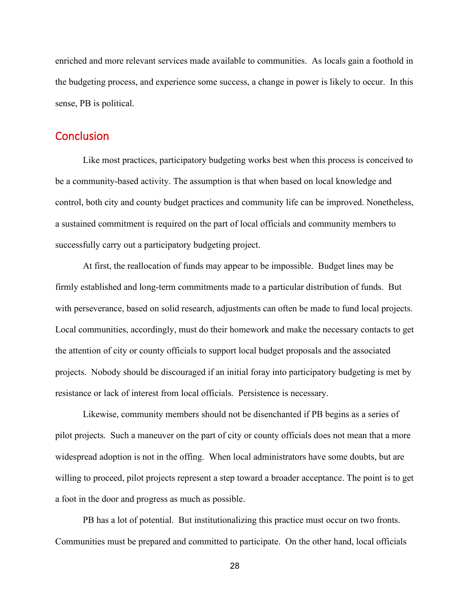enriched and more relevant services made available to communities. As locals gain a foothold in the budgeting process, and experience some success, a change in power is likely to occur. In this sense, PB is political.

## **Conclusion**

Like most practices, participatory budgeting works best when this process is conceived to be a community-based activity. The assumption is that when based on local knowledge and control, both city and county budget practices and community life can be improved. Nonetheless, a sustained commitment is required on the part of local officials and community members to successfully carry out a participatory budgeting project.

At first, the reallocation of funds may appear to be impossible. Budget lines may be firmly established and long-term commitments made to a particular distribution of funds. But with perseverance, based on solid research, adjustments can often be made to fund local projects. Local communities, accordingly, must do their homework and make the necessary contacts to get the attention of city or county officials to support local budget proposals and the associated projects. Nobody should be discouraged if an initial foray into participatory budgeting is met by resistance or lack of interest from local officials. Persistence is necessary.

Likewise, community members should not be disenchanted if PB begins as a series of pilot projects. Such a maneuver on the part of city or county officials does not mean that a more widespread adoption is not in the offing. When local administrators have some doubts, but are willing to proceed, pilot projects represent a step toward a broader acceptance. The point is to get a foot in the door and progress as much as possible.

PB has a lot of potential. But institutionalizing this practice must occur on two fronts. Communities must be prepared and committed to participate. On the other hand, local officials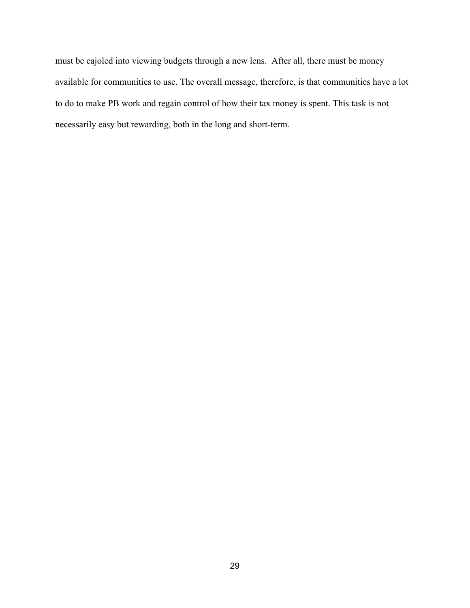must be cajoled into viewing budgets through a new lens. After all, there must be money available for communities to use. The overall message, therefore, is that communities have a lot to do to make PB work and regain control of how their tax money is spent. This task is not necessarily easy but rewarding, both in the long and short-term.